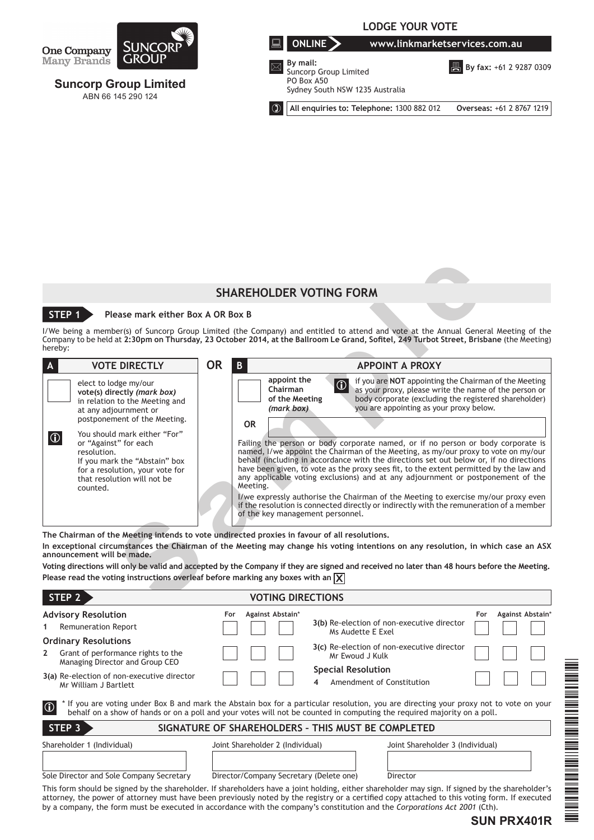

# **Suncorp Group Limited** ABN 66 145 290 124



**B** By fax: +61 2 9287 0309

PO Box A50

Sydney South NSW 1235 Australia

**All enquiries to: Telephone:** 1300 882 012 **Overseas:** +61 2 8767 1219

# **SHAREHOLDER VOTING FORM**

# **STEP 1 Please mark either Box A OR Box B**

|                                                                                                                                                                       |                | <b>SHAREHOLDER VOTING FORM</b>                          |                                                                                                                                                                                                                                                                                                                                                                                                                                               |
|-----------------------------------------------------------------------------------------------------------------------------------------------------------------------|----------------|---------------------------------------------------------|-----------------------------------------------------------------------------------------------------------------------------------------------------------------------------------------------------------------------------------------------------------------------------------------------------------------------------------------------------------------------------------------------------------------------------------------------|
| STEP <sub>1</sub><br>Please mark either Box A OR Box B                                                                                                                |                |                                                         |                                                                                                                                                                                                                                                                                                                                                                                                                                               |
| hereby:                                                                                                                                                               |                |                                                         | I/We being a member(s) of Suncorp Group Limited (the Company) and entitled to attend and vote at the Annual General Meeting of the<br>Company to be held at 2:30pm on Thursday, 23 October 2014, at the Ballroom Le Grand, Sofitel, 249 Turbot Street, Brisbane (the Meeting)                                                                                                                                                                 |
| <b>VOTE DIRECTLY</b><br>A                                                                                                                                             | <b>OR</b><br>B |                                                         | <b>APPOINT A PROXY</b>                                                                                                                                                                                                                                                                                                                                                                                                                        |
| elect to lodge my/our<br>vote(s) directly (mark box)<br>in relation to the Meeting and<br>at any adjournment or                                                       |                | appoint the<br>Chairman<br>of the Meeting<br>(mark box) | if you are NOT appointing the Chairman of the Meeting<br>$ \mathbb{G} $<br>as your proxy, please write the name of the person or<br>body corporate (excluding the registered shareholder)<br>you are appointing as your proxy below.                                                                                                                                                                                                          |
| postponement of the Meeting.<br>You should mark either "For"                                                                                                          | <b>OR</b>      |                                                         |                                                                                                                                                                                                                                                                                                                                                                                                                                               |
| $ \mathbb{G} $<br>or "Against" for each<br>resolution.<br>If you mark the "Abstain" box<br>for a resolution, your vote for<br>that resolution will not be<br>counted. | Meeting.       |                                                         | Failing the person or body corporate named, or if no person or body corporate is<br>named, I/we appoint the Chairman of the Meeting, as my/our proxy to vote on my/our<br>behalf (including in accordance with the directions set out below or, if no directions<br>have been given, to vote as the proxy sees fit, to the extent permitted by the law and<br>any applicable voting exclusions) and at any adjournment or postponement of the |
|                                                                                                                                                                       |                | of the key management personnel.                        | I/we expressly authorise the Chairman of the Meeting to exercise my/our proxy even<br>if the resolution is connected directly or indirectly with the remuneration of a member                                                                                                                                                                                                                                                                 |
| The Chairman of the Meeting intends to vote undirected proxies in favour of all resolutions.<br>announcement will be made.                                            |                |                                                         | In exceptional circumstances the Chairman of the Meeting may change his voting intentions on any resolution, in which case an ASX<br>Voting directions will only be valid and accepted by the Company if they are signed and received no later than 48 hours before the Meeting.                                                                                                                                                              |
| Please read the voting instructions overleaf before marking any boxes with an $\chi$                                                                                  |                |                                                         |                                                                                                                                                                                                                                                                                                                                                                                                                                               |
| STEP <sub>2</sub>                                                                                                                                                     |                | <b>VOTING DIRECTIONS</b>                                |                                                                                                                                                                                                                                                                                                                                                                                                                                               |

| STEP <sub>2</sub>                                                                                                                                | <b>VOTING DIRECTIONS</b>                                                                                                |                                                                                                                                        |
|--------------------------------------------------------------------------------------------------------------------------------------------------|-------------------------------------------------------------------------------------------------------------------------|----------------------------------------------------------------------------------------------------------------------------------------|
| <b>Advisory Resolution</b><br><b>Remuneration Report</b>                                                                                         | Against Abstain*<br>For<br>Ms Audette E Exel                                                                            | Against Abstain*<br>For<br>3(b) Re-election of non-executive director                                                                  |
| <b>Ordinary Resolutions</b>                                                                                                                      |                                                                                                                         | 3(c) Re-election of non-executive director                                                                                             |
| Grant of performance rights to the<br>$\mathbf{2}$<br>Managing Director and Group CEO                                                            | Mr Ewoud J Kulk                                                                                                         |                                                                                                                                        |
| 3(a) Re-election of non-executive director<br>Mr William J Bartlett                                                                              | <b>Special Resolution</b><br>4                                                                                          | Amendment of Constitution                                                                                                              |
| $\circ$                                                                                                                                          | behalf on a show of hands or on a poll and your votes will not be counted in computing the required majority on a poll. | f If you are voting under Box B and mark the Abstain box for a particular resolution, you are directing your proxy not to vote on your |
| STEP <sub>3</sub>                                                                                                                                | SIGNATURE OF SHAREHOLDERS - THIS MUST BE COMPLETED                                                                      |                                                                                                                                        |
| Shareholder 1 (Individual)                                                                                                                       | Joint Shareholder 2 (Individual)                                                                                        | Joint Shareholder 3 (Individual)                                                                                                       |
|                                                                                                                                                  |                                                                                                                         |                                                                                                                                        |
| Sole Director and Sole Company Secretary                                                                                                         | Director/Company Secretary (Delete one)                                                                                 | Director                                                                                                                               |
| This form should be signed by the shareholder. If shareholders have a joint holding, either shareholder may sign. If signed by the shareholder's |                                                                                                                         |                                                                                                                                        |

This form should be signed by the shareholder. If shareholders have a joint holding, either shareholder may sign. If signed by the shareholder's attorney, the power of attorney must have been previously noted by the registry or a certified copy attached to this voting form. If executed by a company, the form must be executed in accordance with the company's constitution and the *Corporations Act 2001* (Cth).

# **SUN PRX401R**

\*SUN PRX401\*

A A TARAH A MANJADIRI A MATATA A MATATA A MATATA A MATATA A MATATA A MATATA A MATATA A MATATA A MATATA A MATAT